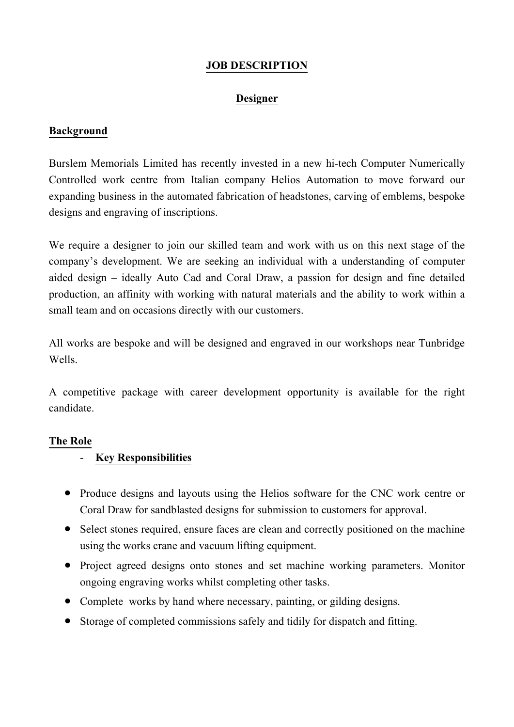## **JOB DESCRIPTION**

### **Designer**

### **Background**

Burslem Memorials Limited has recently invested in a new hi-tech Computer Numerically Controlled work centre from Italian company Helios Automation to move forward our expanding business in the automated fabrication of headstones, carving of emblems, bespoke designs and engraving of inscriptions.

We require a designer to join our skilled team and work with us on this next stage of the company's development. We are seeking an individual with a understanding of computer aided design – ideally Auto Cad and Coral Draw, a passion for design and fine detailed production, an affinity with working with natural materials and the ability to work within a small team and on occasions directly with our customers.

All works are bespoke and will be designed and engraved in our workshops near Tunbridge Wells.

A competitive package with career development opportunity is available for the right candidate.

#### **The Role**

# - **Key Responsibilities**

- Produce designs and layouts using the Helios software for the CNC work centre or Coral Draw for sandblasted designs for submission to customers for approval.
- Select stones required, ensure faces are clean and correctly positioned on the machine using the works crane and vacuum lifting equipment.
- Project agreed designs onto stones and set machine working parameters. Monitor ongoing engraving works whilst completing other tasks.
- Complete works by hand where necessary, painting, or gilding designs.
- Storage of completed commissions safely and tidily for dispatch and fitting.